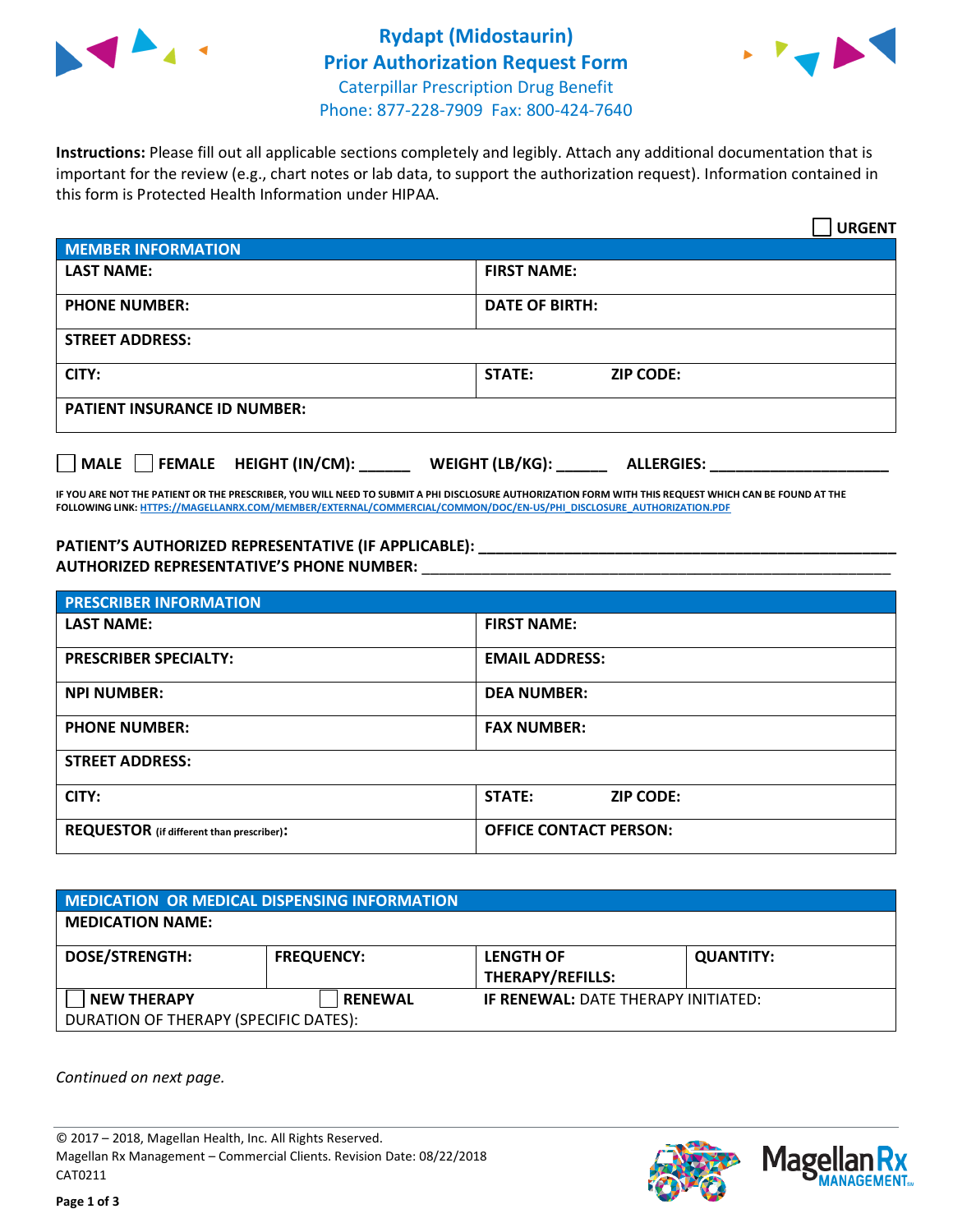



**Instructions:** Please fill out all applicable sections completely and legibly. Attach any additional documentation that is important for the review (e.g., chart notes or lab data, to support the authorization request). Information contained in this form is Protected Health Information under HIPAA.

|                                       | <b>URGENT</b>                        |  |
|---------------------------------------|--------------------------------------|--|
| <b>MEMBER INFORMATION</b>             |                                      |  |
| <b>LAST NAME:</b>                     | <b>FIRST NAME:</b>                   |  |
| <b>PHONE NUMBER:</b>                  | <b>DATE OF BIRTH:</b>                |  |
| <b>STREET ADDRESS:</b>                |                                      |  |
| CITY:                                 | <b>ZIP CODE:</b><br>STATE:           |  |
| <b>PATIENT INSURANCE ID NUMBER:</b>   |                                      |  |
| FEMALE HEIGHT (IN/CM):<br><b>MALE</b> | WEIGHT (LB/KG):<br><b>ALLERGIES:</b> |  |

**IF YOU ARE NOT THE PATIENT OR THE PRESCRIBER, YOU WILL NEED TO SUBMIT A PHI DISCLOSURE AUTHORIZATION FORM WITH THIS REQUEST WHICH CAN BE FOUND AT THE FOLLOWING LINK[: HTTPS://MAGELLANRX.COM/MEMBER/EXTERNAL/COMMERCIAL/COMMON/DOC/EN-US/PHI\\_DISCLOSURE\\_AUTHORIZATION.PDF](https://magellanrx.com/member/external/commercial/common/doc/en-us/PHI_Disclosure_Authorization.pdf)**

PATIENT'S AUTHORIZED REPRESENTATIVE (IF APPLICABLE): **AUTHORIZED REPRESENTATIVE'S PHONE NUMBER:** \_\_\_\_\_\_\_\_\_\_\_\_\_\_\_\_\_\_\_\_\_\_\_\_\_\_\_\_\_\_\_\_\_\_\_\_\_\_\_\_\_\_\_\_\_\_\_\_\_\_\_\_\_\_\_

| <b>PRESCRIBER INFORMATION</b>             |                               |  |  |  |
|-------------------------------------------|-------------------------------|--|--|--|
| <b>LAST NAME:</b>                         | <b>FIRST NAME:</b>            |  |  |  |
| <b>PRESCRIBER SPECIALTY:</b>              | <b>EMAIL ADDRESS:</b>         |  |  |  |
| <b>NPI NUMBER:</b>                        | <b>DEA NUMBER:</b>            |  |  |  |
| <b>PHONE NUMBER:</b>                      | <b>FAX NUMBER:</b>            |  |  |  |
| <b>STREET ADDRESS:</b>                    |                               |  |  |  |
| CITY:                                     | STATE:<br><b>ZIP CODE:</b>    |  |  |  |
| REQUESTOR (if different than prescriber): | <b>OFFICE CONTACT PERSON:</b> |  |  |  |

| <b>MEDICATION OR MEDICAL DISPENSING INFORMATION</b> |                   |                                            |                  |  |  |
|-----------------------------------------------------|-------------------|--------------------------------------------|------------------|--|--|
| <b>MEDICATION NAME:</b>                             |                   |                                            |                  |  |  |
| <b>DOSE/STRENGTH:</b>                               | <b>FREQUENCY:</b> | <b>LENGTH OF</b>                           | <b>QUANTITY:</b> |  |  |
|                                                     |                   | <b>THERAPY/REFILLS:</b>                    |                  |  |  |
| <b>NEW THERAPY</b>                                  | <b>RENEWAL</b>    | <b>IF RENEWAL: DATE THERAPY INITIATED:</b> |                  |  |  |
| DURATION OF THERAPY (SPECIFIC DATES):               |                   |                                            |                  |  |  |

*Continued on next page.*

© 2017 – 2018, Magellan Health, Inc. All Rights Reserved. Magellan Rx Management – Commercial Clients. Revision Date: 08/22/2018 CAT0211



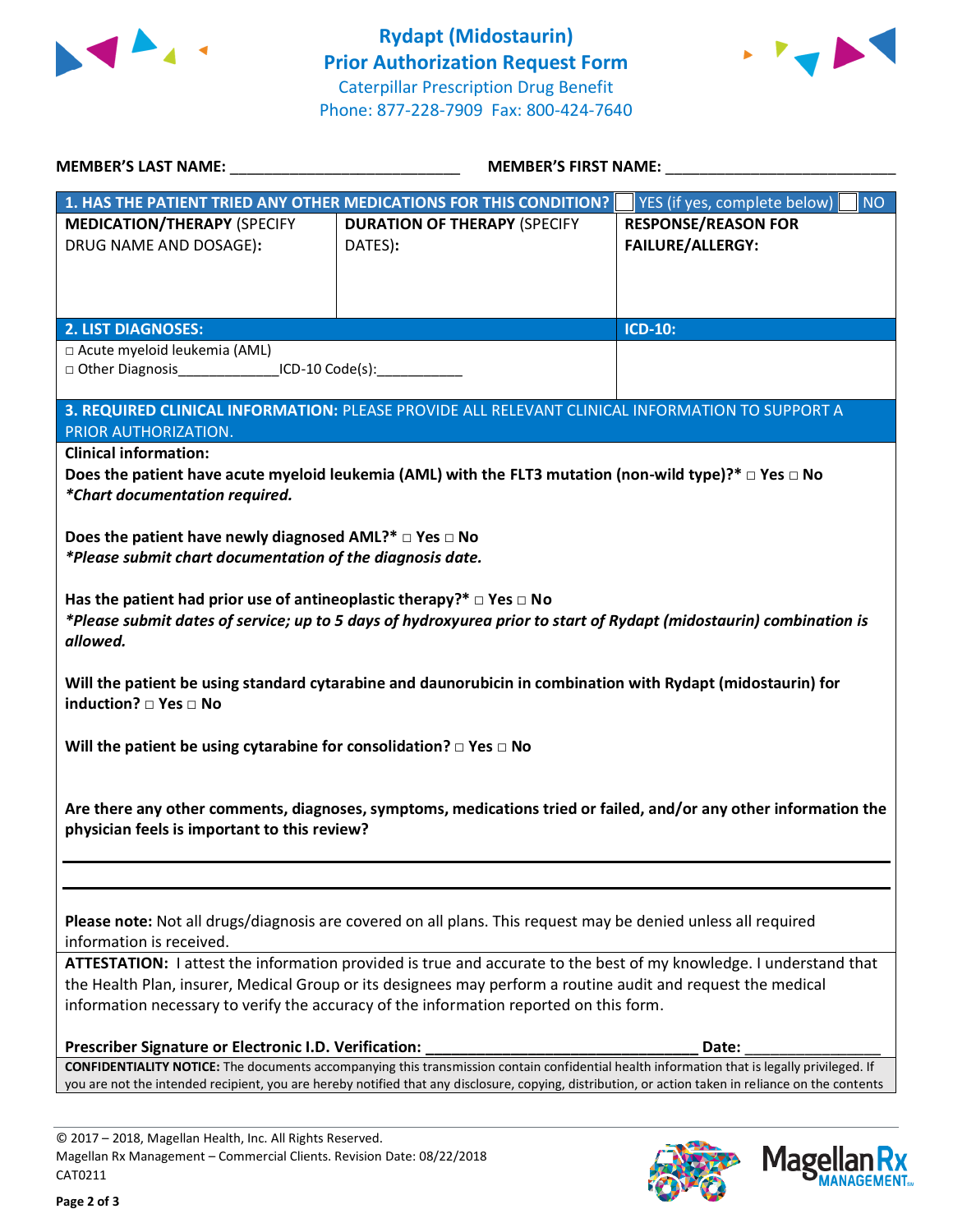



| MEMBER'S LAST NAME: NAME:                                                                                                                           | <b>MEMBER'S FIRST NAME:</b>                                                                                        |                                           |  |  |
|-----------------------------------------------------------------------------------------------------------------------------------------------------|--------------------------------------------------------------------------------------------------------------------|-------------------------------------------|--|--|
|                                                                                                                                                     | 1. HAS THE PATIENT TRIED ANY OTHER MEDICATIONS FOR THIS CONDITION?                                                 | YES (if yes, complete below)<br><b>NO</b> |  |  |
| <b>MEDICATION/THERAPY (SPECIFY</b>                                                                                                                  | <b>DURATION OF THERAPY (SPECIFY</b>                                                                                | <b>RESPONSE/REASON FOR</b>                |  |  |
| DRUG NAME AND DOSAGE):                                                                                                                              | DATES):                                                                                                            | FAILURE/ALLERGY:                          |  |  |
|                                                                                                                                                     |                                                                                                                    |                                           |  |  |
|                                                                                                                                                     |                                                                                                                    |                                           |  |  |
|                                                                                                                                                     |                                                                                                                    |                                           |  |  |
| <b>2. LIST DIAGNOSES:</b>                                                                                                                           |                                                                                                                    | <b>ICD-10:</b>                            |  |  |
| □ Acute myeloid leukemia (AML)                                                                                                                      |                                                                                                                    |                                           |  |  |
| □ Other Diagnosis________________ICD-10 Code(s):____________                                                                                        |                                                                                                                    |                                           |  |  |
|                                                                                                                                                     | 3. REQUIRED CLINICAL INFORMATION: PLEASE PROVIDE ALL RELEVANT CLINICAL INFORMATION TO SUPPORT A                    |                                           |  |  |
| PRIOR AUTHORIZATION.                                                                                                                                |                                                                                                                    |                                           |  |  |
| <b>Clinical information:</b>                                                                                                                        |                                                                                                                    |                                           |  |  |
|                                                                                                                                                     | Does the patient have acute myeloid leukemia (AML) with the FLT3 mutation (non-wild type)?* $\Box$ Yes $\Box$ No   |                                           |  |  |
| *Chart documentation required.                                                                                                                      |                                                                                                                    |                                           |  |  |
|                                                                                                                                                     |                                                                                                                    |                                           |  |  |
| Does the patient have newly diagnosed AML?* $\Box$ Yes $\Box$ No                                                                                    |                                                                                                                    |                                           |  |  |
| *Please submit chart documentation of the diagnosis date.                                                                                           |                                                                                                                    |                                           |  |  |
|                                                                                                                                                     |                                                                                                                    |                                           |  |  |
| Has the patient had prior use of antineoplastic therapy?* $\Box$ Yes $\Box$ No                                                                      |                                                                                                                    |                                           |  |  |
|                                                                                                                                                     | *Please submit dates of service; up to 5 days of hydroxyurea prior to start of Rydapt (midostaurin) combination is |                                           |  |  |
| allowed.                                                                                                                                            |                                                                                                                    |                                           |  |  |
|                                                                                                                                                     |                                                                                                                    |                                           |  |  |
|                                                                                                                                                     | Will the patient be using standard cytarabine and daunorubicin in combination with Rydapt (midostaurin) for        |                                           |  |  |
| induction? □ Yes □ No                                                                                                                               |                                                                                                                    |                                           |  |  |
|                                                                                                                                                     |                                                                                                                    |                                           |  |  |
| Will the patient be using cytarabine for consolidation? $\Box$ Yes $\Box$ No                                                                        |                                                                                                                    |                                           |  |  |
|                                                                                                                                                     |                                                                                                                    |                                           |  |  |
|                                                                                                                                                     | Are there any other comments, diagnoses, symptoms, medications tried or failed, and/or any other information the   |                                           |  |  |
| physician feels is important to this review?                                                                                                        |                                                                                                                    |                                           |  |  |
|                                                                                                                                                     |                                                                                                                    |                                           |  |  |
|                                                                                                                                                     |                                                                                                                    |                                           |  |  |
|                                                                                                                                                     |                                                                                                                    |                                           |  |  |
|                                                                                                                                                     | Please note: Not all drugs/diagnosis are covered on all plans. This request may be denied unless all required      |                                           |  |  |
| information is received.                                                                                                                            |                                                                                                                    |                                           |  |  |
| ATTESTATION: I attest the information provided is true and accurate to the best of my knowledge. I understand that                                  |                                                                                                                    |                                           |  |  |
| the Health Plan, insurer, Medical Group or its designees may perform a routine audit and request the medical                                        |                                                                                                                    |                                           |  |  |
| information necessary to verify the accuracy of the information reported on this form.                                                              |                                                                                                                    |                                           |  |  |
|                                                                                                                                                     |                                                                                                                    |                                           |  |  |
| Prescriber Signature or Electronic I.D. Verification:                                                                                               |                                                                                                                    | Date:                                     |  |  |
| CONFIDENTIALITY NOTICE: The documents accompanying this transmission contain confidential health information that is legally privileged. If         |                                                                                                                    |                                           |  |  |
| you are not the intended recipient, you are hereby notified that any disclosure, copying, distribution, or action taken in reliance on the contents |                                                                                                                    |                                           |  |  |
|                                                                                                                                                     |                                                                                                                    |                                           |  |  |
| lne. All Dights Docor                                                                                                                               |                                                                                                                    |                                           |  |  |

© 2017 – 2018, Magellan Health, Inc. All Rights Reserved. Magellan Rx Management – Commercial Clients. Revision Date: 08/22/2018 CAT0211